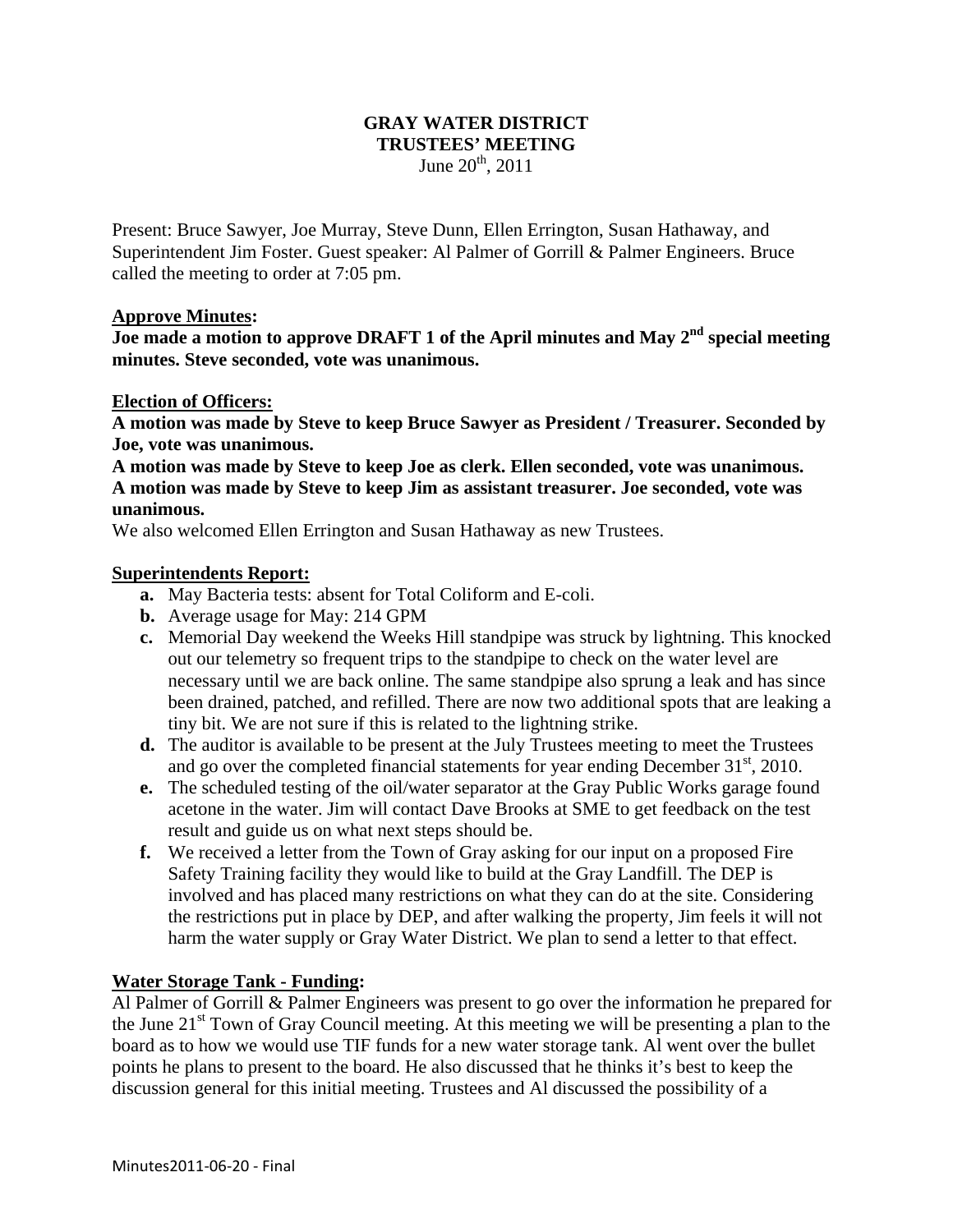# **GRAY WATER DISTRICT TRUSTEES' MEETING**

June  $20^{th}$ ,  $2011$ 

Present: Bruce Sawyer, Joe Murray, Steve Dunn, Ellen Errington, Susan Hathaway, and Superintendent Jim Foster. Guest speaker: Al Palmer of Gorrill & Palmer Engineers. Bruce called the meeting to order at 7:05 pm.

## **Approve Minutes:**

**Joe made a motion to approve DRAFT 1 of the April minutes and May 2nd special meeting minutes. Steve seconded, vote was unanimous.** 

#### **Election of Officers:**

**A motion was made by Steve to keep Bruce Sawyer as President / Treasurer. Seconded by Joe, vote was unanimous.** 

**A motion was made by Steve to keep Joe as clerk. Ellen seconded, vote was unanimous. A motion was made by Steve to keep Jim as assistant treasurer. Joe seconded, vote was unanimous.** 

We also welcomed Ellen Errington and Susan Hathaway as new Trustees.

#### **Superintendents Report:**

- **a.** May Bacteria tests: absent for Total Coliform and E-coli.
- **b.** Average usage for May: 214 GPM
- **c.** Memorial Day weekend the Weeks Hill standpipe was struck by lightning. This knocked out our telemetry so frequent trips to the standpipe to check on the water level are necessary until we are back online. The same standpipe also sprung a leak and has since been drained, patched, and refilled. There are now two additional spots that are leaking a tiny bit. We are not sure if this is related to the lightning strike.
- **d.** The auditor is available to be present at the July Trustees meeting to meet the Trustees and go over the completed financial statements for year ending December  $31<sup>st</sup>$ , 2010.
- **e.** The scheduled testing of the oil/water separator at the Gray Public Works garage found acetone in the water. Jim will contact Dave Brooks at SME to get feedback on the test result and guide us on what next steps should be.
- **f.** We received a letter from the Town of Gray asking for our input on a proposed Fire Safety Training facility they would like to build at the Gray Landfill. The DEP is involved and has placed many restrictions on what they can do at the site. Considering the restrictions put in place by DEP, and after walking the property, Jim feels it will not harm the water supply or Gray Water District. We plan to send a letter to that effect.

## **Water Storage Tank - Funding:**

Al Palmer of Gorrill & Palmer Engineers was present to go over the information he prepared for the June  $21<sup>st</sup>$  Town of Gray Council meeting. At this meeting we will be presenting a plan to the board as to how we would use TIF funds for a new water storage tank. Al went over the bullet points he plans to present to the board. He also discussed that he thinks it's best to keep the discussion general for this initial meeting. Trustees and Al discussed the possibility of a